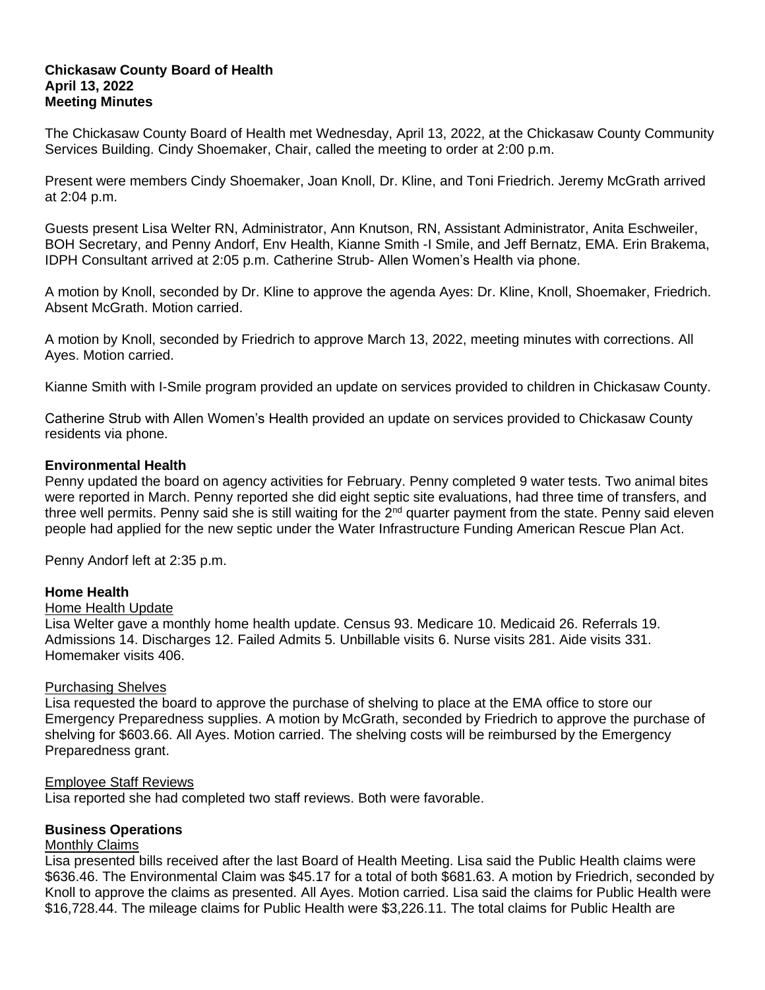## **Chickasaw County Board of Health April 13, 2022 Meeting Minutes**

The Chickasaw County Board of Health met Wednesday, April 13, 2022, at the Chickasaw County Community Services Building. Cindy Shoemaker, Chair, called the meeting to order at 2:00 p.m.

Present were members Cindy Shoemaker, Joan Knoll, Dr. Kline, and Toni Friedrich. Jeremy McGrath arrived at 2:04 p.m.

Guests present Lisa Welter RN, Administrator, Ann Knutson, RN, Assistant Administrator, Anita Eschweiler, BOH Secretary, and Penny Andorf, Env Health, Kianne Smith -I Smile, and Jeff Bernatz, EMA. Erin Brakema, IDPH Consultant arrived at 2:05 p.m. Catherine Strub- Allen Women's Health via phone.

A motion by Knoll, seconded by Dr. Kline to approve the agenda Ayes: Dr. Kline, Knoll, Shoemaker, Friedrich. Absent McGrath. Motion carried.

A motion by Knoll, seconded by Friedrich to approve March 13, 2022, meeting minutes with corrections. All Ayes. Motion carried.

Kianne Smith with I-Smile program provided an update on services provided to children in Chickasaw County.

Catherine Strub with Allen Women's Health provided an update on services provided to Chickasaw County residents via phone.

# **Environmental Health**

Penny updated the board on agency activities for February. Penny completed 9 water tests. Two animal bites were reported in March. Penny reported she did eight septic site evaluations, had three time of transfers, and three well permits. Penny said she is still waiting for the 2<sup>nd</sup> quarter payment from the state. Penny said eleven people had applied for the new septic under the Water Infrastructure Funding American Rescue Plan Act.

Penny Andorf left at 2:35 p.m.

## **Home Health**

## Home Health Update

Lisa Welter gave a monthly home health update. Census 93. Medicare 10. Medicaid 26. Referrals 19. Admissions 14. Discharges 12. Failed Admits 5. Unbillable visits 6. Nurse visits 281. Aide visits 331. Homemaker visits 406.

## Purchasing Shelves

Lisa requested the board to approve the purchase of shelving to place at the EMA office to store our Emergency Preparedness supplies. A motion by McGrath, seconded by Friedrich to approve the purchase of shelving for \$603.66. All Ayes. Motion carried. The shelving costs will be reimbursed by the Emergency Preparedness grant.

## Employee Staff Reviews

Lisa reported she had completed two staff reviews. Both were favorable.

## **Business Operations**

## Monthly Claims

Lisa presented bills received after the last Board of Health Meeting. Lisa said the Public Health claims were \$636.46. The Environmental Claim was \$45.17 for a total of both \$681.63. A motion by Friedrich, seconded by Knoll to approve the claims as presented. All Ayes. Motion carried. Lisa said the claims for Public Health were \$16,728.44. The mileage claims for Public Health were \$3,226.11. The total claims for Public Health are